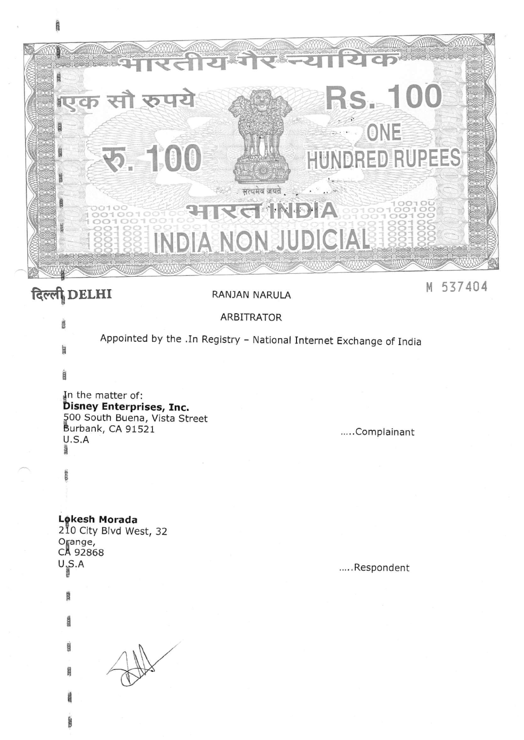

# दिल्ली DELHI

**CREW** 

#### RANJAN NARULA

M 537404

#### **ARBITRATOR**

Appointed by the .In Registry - National Internet Exchange of India

圆

äm.

# In the matter of: **Disney Enterprises, Inc.** 500 South Buena, Vista Street<br>Burbank, CA 91521  $U.S.A$

.....Complainant

Lokesh Morada

210 City Blvd West, 32 Orange, CA 92868  $U_{\frac{1}{2}}SA$ 

**B** 

.....Respondent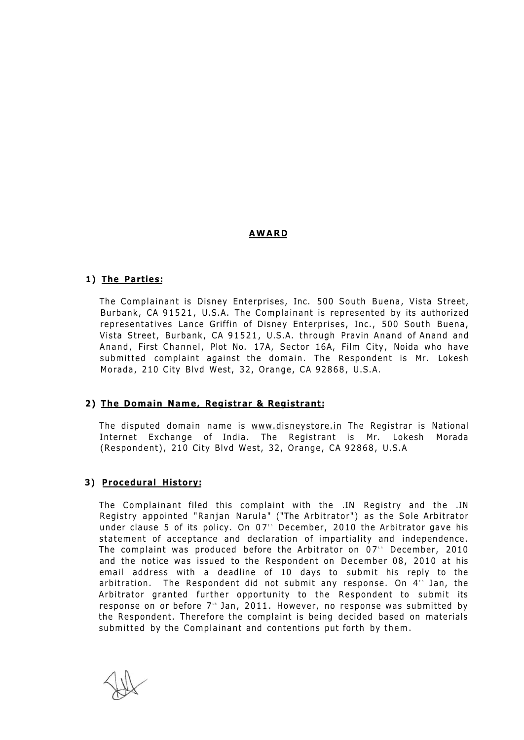# **AWAR D**

## **1) The Parties:**

The Complainant is Disney Enterprises, Inc. 500 South Buena, Vista Street, Burbank, CA 91521, U.S.A. The Complainant is represented by its authorized representatives Lance Griffin of Disney Enterprises, Inc., 500 South Buena, Vista Street, Burbank, CA 91521, U.S.A. through Pravin Anand of Anand and Anand, First Channel, Plot No. 17A, Sector 16A, Film City, Noida who have submitted complaint against the domain. The Respondent is Mr. Lokesh Morada, 210 City Blvd West, 32, Orange, CA 92868, U.S.A.

# **2) The Domain Name, Registrar & Registrant:**

The disputed domain name is [www.disneystore.in T](http://www.disneystore.in)he Registrar is National Internet Exchange of India. The Registrant is Mr. Lokesh Morada (Respondent), 210 City Blvd West, 32, Orange, CA 92868, U.S.A

# **3) Procedural History:**

The Complainant filed this complaint with the .IN Registry and the .IN Registry appointed "Ranjan Narula" ("The Arbitrator") as the Sole Arbitrator under clause 5 of its policy. On 07" December, 2010 the Arbitrator gave his statement of acceptance and declaration of impartiality and independence. The complaint was produced before the Arbitrator on 07" December, 2010 and the notice was issued to the Respondent on December 08, 2010 at his email address with a deadline of 10 days to submit his reply to the arbitration. The Respondent did not submit any response. On 4th Jan, the Arbitrator granted further opportunity to the Respondent to submit its response on or before 7th Jan, 2011. However, no response was submitted by the Respondent. Therefore the complaint is being decided based on materials submitted by the Complainant and contentions put forth by them.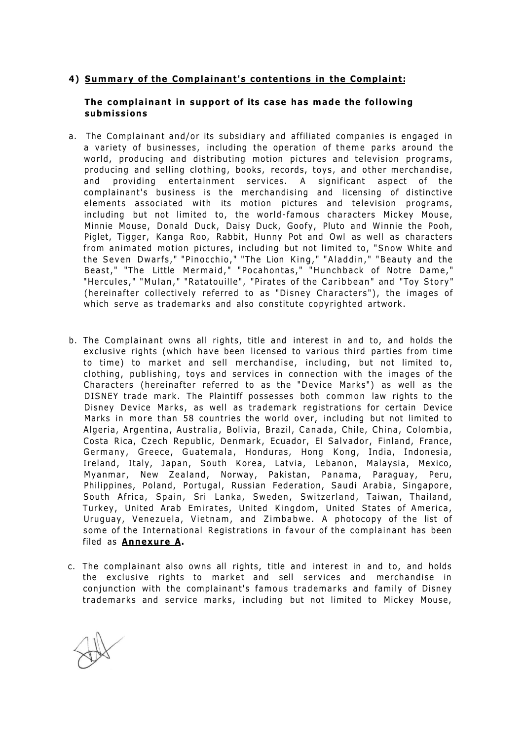## **4) Summary of the Complainant's contentions in the Complaint:**

## **The complainant in support of its case has made the following submissions**

- a. The Complainant and/or its subsidiary and affiliated companies is engaged in a variety of businesses, including the operation of theme parks around the world, producing and distributing motion pictures and television programs, producing and selling clothing, books, records, toys, and other merchandise, and providing entertainment services. A significant aspect of the complainant's business is the merchandising and licensing of distinctive elements associated with its motion pictures and television programs, including but not limited to, the world-famous characters Mickey Mouse, Minnie Mouse, Donald Duck, Daisy Duck, Goofy, Pluto and Winnie the Pooh, Piglet, Tigger, Kanga Roo, Rabbit, Hunny Pot and Owl as well as characters from animated motion pictures, including but not limited to, "Snow White and the Seven Dwarfs, " "Pinocchio, " "The Lion King, " "Aladdin, " "Beauty and the Beast, " "The Little Mermaid, " "Pocahontas, " "Hunchback of Notre Dame, " "Hercules," "Mulan," "Ratatouille", "Pirates of the Caribbean" and "Toy Story" (hereinafter collectively referred to as "Disney Characters"), the images of which serve as trademarks and also constitute copyrighted artwork.
- b. The Complainant owns all rights, title and interest in and to, and holds the exclusive rights (which have been licensed to various third parties from time to time) to market and sell merchandise, including, but not limited to, clothing, publishing, toys and services in connection with the images of the Characters (hereinafter referred to as the "Device Marks") as well as the DISNEY trade mark. The Plaintiff possesses both common law rights to the Disney Device Marks, as well as trademark registrations for certain Device Marks in more than 58 countries the world over, including but not limited to Algeria, Argentina, Australia, Bolivia, Brazil, Canada, Chile, China, Colombia, Costa Rica, Czech Republic, Denmark, Ecuador, El Salvador, Finland, France, Germany, Greece, Guatemala, Honduras, Hong Kong, India, Indonesia, Ireland, Italy, Japan, South Korea, Latvia, Lebanon, Malaysia, Mexico, Myanmar, New Zealand, Norway, Pakistan, Panama, Paraguay, Peru, Philippines, Poland, Portugal, Russian Federation, Saudi Arabia, Singapore, South Africa, Spain, Sri Lanka, Sweden, Switzerland, Taiwan, Thailand, Turkey, United Arab Emirates, United Kingdom, United States of America, Uruguay, Venezuela, Vietnam, and Zimbabwe. A photocopy of the list of some of the International Registrations in favour of the complainant has been filed as **Annexure A.**
- c. The complainant also owns all rights, title and interest in and to, and holds the exclusive rights to market and sell services and merchandise in conjunction with the complainant's famous trademarks and family of Disney trademarks and service marks, including but not limited to Mickey Mouse,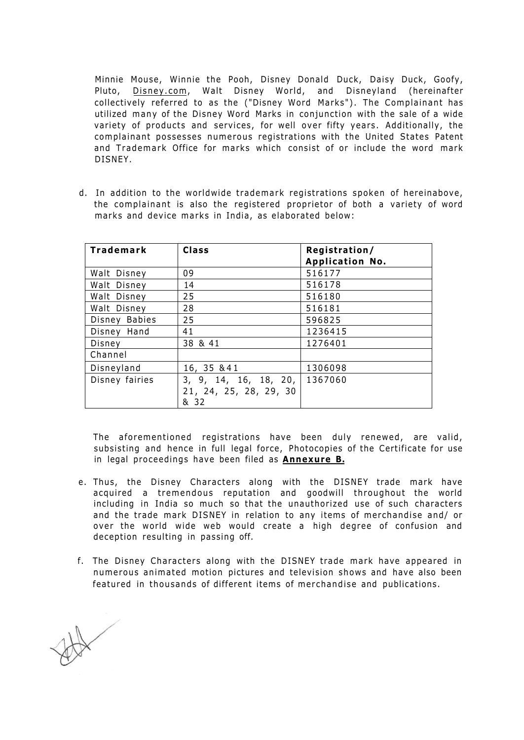Minnie Mouse, Winnie the Pooh, Disney Donald Duck, Daisy Duck, Goofy, Pluto, [Disney.com,](http://Disney.com) Walt Disney World, and Disneyland (hereinafter collectively referred to as the ("Disney Word Marks"). The Complainant has utilized many of the Disney Word Marks in conjunction with the sale of a wide variety of products and services, for well over fifty years. Additionally, the complainant possesses numerous registrations with the United States Patent and Trademark Office for marks which consist of or include the word mark DISNEY.

d. In addition to the worldwide trademark registrations spoken of hereinabove, the complainant is also the registered proprietor of both a variety of word marks and device marks in India, as elaborated below:

| Trademark      | <b>Class</b>           | Registration/<br><b>Application No.</b> |
|----------------|------------------------|-----------------------------------------|
| Walt Disney    | 09                     | 516177                                  |
| Walt Disney    | 14                     | 516178                                  |
| Walt Disney    | 25                     | 516180                                  |
| Walt Disney    | 28                     | 516181                                  |
| Disney Babies  | 25                     | 596825                                  |
| Disney Hand    | 41                     | 1236415                                 |
| Disney         | 38 & 41                | 1276401                                 |
| Channel        |                        |                                         |
| Disneyland     | 16, 35 & 41            | 1306098                                 |
| Disney fairies | 3, 9, 14, 16, 18, 20,  | 1367060                                 |
|                | 21, 24, 25, 28, 29, 30 |                                         |
|                | & 32                   |                                         |

The aforementioned registrations have been duly renewed, are valid, subsisting and hence in full legal force, Photocopies of the Certificate for use in legal proceedings have been filed as **Annexure B.** 

- e. Thus, the Disney Characters along with the DISNEY trade mark have acquired a tremendous reputation and goodwill throughout the world including in India so much so that the unauthorized use of such characters and the trade mark DISNEY in relation to any items of merchandise and/ or over the world wide web would create a high degree of confusion and deception resulting in passing off.
- f. The Disney Characters along with the DISNEY trade mark have appeared in numerous animated motion pictures and television shows and have also been featured in thousands of different items of merchandise and publications.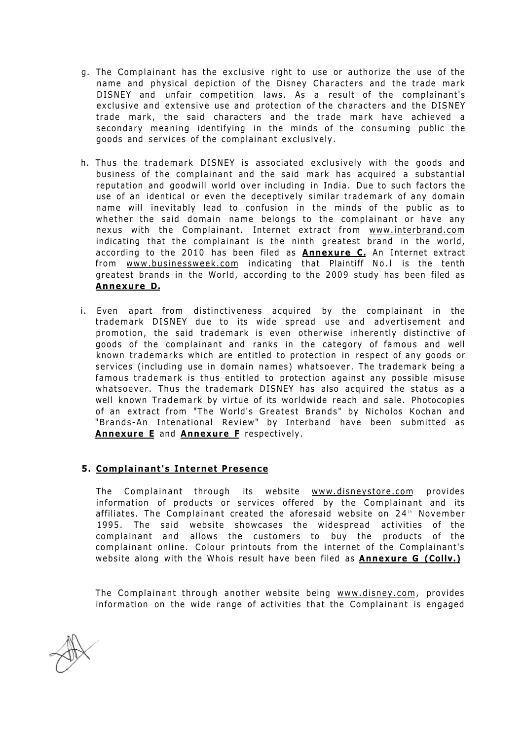- g. The Complainant has the exclusive right to use or authorize the use of the name and physical depiction of the Disney Characters and the trade mark DISNEY and unfair competition laws. As a result of the complainant's exclusive and extensive use and protection of the characters and the DISNEY trade mark, the said characters and the trade mark have achieved a secondary meaning identifying in the minds of the consuming public the goods and services of the complainant exclusively.
- h. Thus the trademark DISNEY is associated exclusively with the goods and business of the complainant and the said mark has acquired a substantial reputation and goodwill world over including in India. Due to such factors the use of an identical or even the deceptively similar trademark of any domain name will inevitably lead to confusion in the minds of the public as to whether the said domain name belongs to the complainant or have any nexus with the Complainant. Internet extract from [www.interbrand.com](http://www.interbrand.com) indicating that the complainant is the ninth greatest brand in the world, according to the 2010 has been filed as **Annexure C.** An Internet extract from [www.businessweek.com i](http://www.businessweek.com)ndicating that Plaintiff No.l is the tenth greatest brands in the World, according to the 2009 study has been filed as **Annexure D.**
- i. Even apart from distinctiveness acquired by the complainant in the trademark DISNEY due to its wide spread use and advertisement and promotion, the said trademark is even otherwise inherently distinctive of goods of the complainant and ranks in the category of famous and well known trademarks which are entitled to protection in respect of any goods or services (including use in domain names) whatsoever . The trademark being a famous trademark is thus entitled to protection against any possible misuse whatsoever. Thus the trademark DISNEY has also acquired the status as a well known Trademark by virtue of its worldwide reach and sale. Photocopies of an extract from "The World's Greatest Brands" by Nicholos Kochan and "Brands-An Intenational Review" by Interband have been submitted as **Annexure E** and **Annexure F** respectively.

# **5. Complainant's Internet Presence**

The Complainant through its website [www.disneystore.com](http://www.disneystore.com) provides information of products or services offered by the Complainant and its affiliates. The Complainant created the aforesaid website on 24th November 1995. The said website showcases the widespread activities of the complainant and allows the customers to buy the products of the complainant online. Colour printouts from the internet of the Complainant's website along with the Whois result have been filed as **Annexure G (Collv.)** 

The Complainant through another website being [www.disney.com,](http://www.disney.com) provides information on the wide range of activities that the Complainant is engaged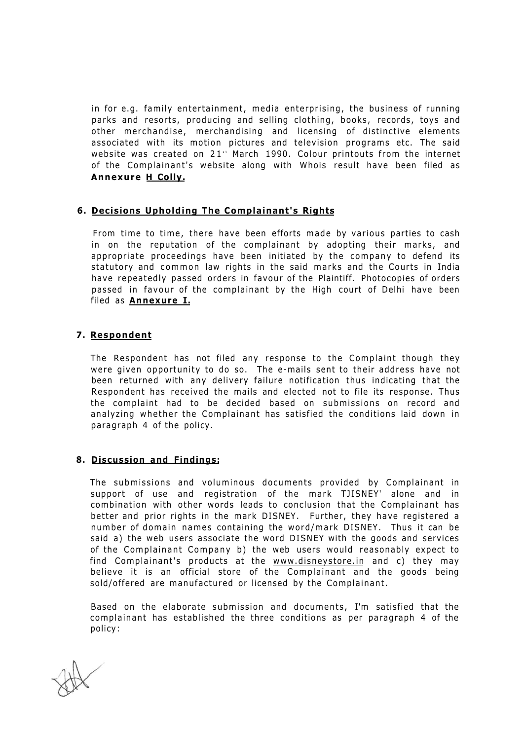in for e.g. family entertainment, media enterprising, the business of running parks and resorts, producing and selling clothing, books, records, toys and other merchandise, merchandising and licensing of distinctive elements associated with its motion pictures and television programs etc. The said website was created on 21" March 1990. Colour printouts from the internet of the Complainant's website along with Whois result have been filed as **Annexure H Colly.** 

## **6. Decisions Upholding The Complainant's Rights**

From time to time, there have been efforts made by various parties to cash in on the reputation of the complainant by adopting their marks, and appropriate proceedings have been initiated by the company to defend its statutory and common law rights in the said marks and the Courts in India have repeatedly passed orders in favour of the Plaintiff. Photocopies of orders passed in favour of the complainant by the High court of Delhi have been filed as **Annexure I.** 

# **7. Respondent**

The Respondent has not filed any response to the Complaint though they were given opportunity to do so. The e-mails sent to their address have not been returned with any delivery failure notification thus indicating that the Respondent has received the mails and elected not to file its response. Thus the complaint had to be decided based on submissions on record and analyzing whether the Complainant has satisfied the conditions laid down in paragraph 4 of the policy.

#### **8. Discussion and Findings:**

The submissions and voluminous documents provided by Complainant in support of use and registration of the mark TJISNEY' alone and in combination with other words leads to conclusion that the Complainant has better and prior rights in the mark DISNEY. Further, they have registered a number of domain names containing the word/mark DISNEY. Thus it can be said a) the web users associate the word DISNEY with the goods and services of the Complainant Company b) the web users would reasonably expect to find Complainant's products at the [www.disneystore.in a](http://www.disneystore.in)nd c) they may believe it is an official store of the Complainant and the goods being sold/offered are manufactured or licensed by the Complainant.

Based on the elaborate submission and documents, I'm satisfied that the complainant has established the three conditions as per paragraph 4 of the policy: